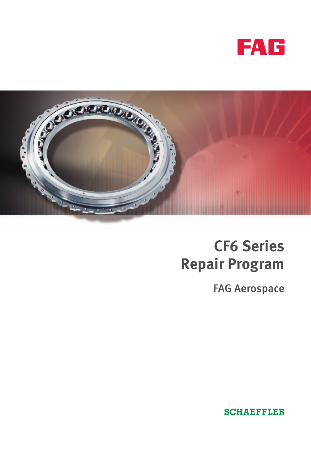



# **CEFE**<br>**CEP** Series **Repair Program**

FAG Aerospace

**SCHAEFFLER**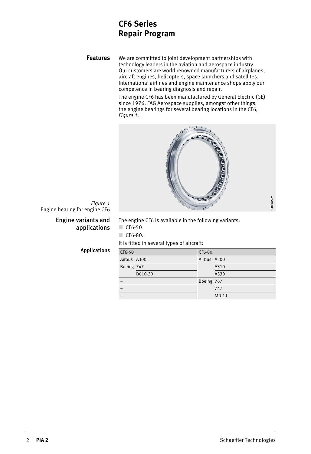### **CEFFECT**<br>Renair Proc **Repair Program**

**Features** We are committed to joint development partnerships with technology leaders in the aviation and aerospace industry. Our customers are world renowned manufacturers of airplanes, aircraft engines, helicopters, space launchers and satellites. International airlines and engine maintenance shops apply our competence in bearing diagnosis and repair.

> The engine CF6 has been manufactured by General Electric (GE) since 1976. FAG Aerospace supplies, amongst other things, the engine bearings for several bearing locations in the CF6, *Figure 1*.



## *Figure 1* Engine bearing for engine CF6

### Engine variants and applications

The engine CF6 is available in the following variants: ■ CF6-50 ■ CF6-80.

It is fitted in several types of aircraft:

Applications

| CF6-50      |         | CF6-80      |         |
|-------------|---------|-------------|---------|
| Airbus A300 |         | Airbus A300 |         |
| Boeing 747  |         |             | A310    |
|             | DC10-30 |             | A330    |
|             |         | Boeing 767  |         |
|             |         |             | 747     |
|             |         |             | $MD-11$ |
|             |         |             |         |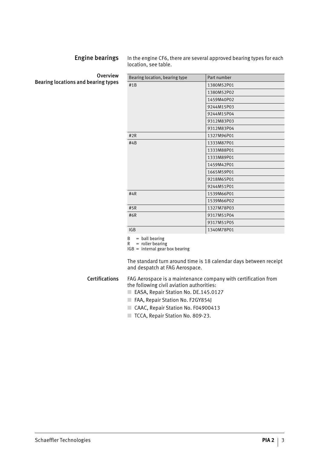Engine bearings In the engine CF6, there are several approved bearing types for each location, see table.

**Overview** Bearing locations and bearing types

| Bearing location, bearing type | Part number |  |
|--------------------------------|-------------|--|
| #1B                            | 1380M52P01  |  |
|                                | 1380M52P02  |  |
|                                | 1459M40P02  |  |
|                                | 9244M15P03  |  |
|                                | 9244M15P04  |  |
|                                | 9312M83P03  |  |
|                                | 9312M83P04  |  |
| #2R                            | 1327M96P01  |  |
| #4B                            | 1333M87P01  |  |
|                                | 1333M88P01  |  |
|                                | 1333M89P01  |  |
|                                | 1459M42P01  |  |
|                                | 1665M59P01  |  |
|                                | 9218M65P01  |  |
|                                | 9244M51P01  |  |
| #4R                            | 1539M66P01  |  |
|                                | 1539M66P02  |  |
| #5R                            | 1327M78P03  |  |
| #6R                            | 9317M51P04  |  |
|                                | 9317M51P05  |  |
| <b>IGB</b>                     | 1340M78P01  |  |

 $B = ball bearing$ 

 $R =$  roller bearing

 $IGB = internal$  box bearing

The standard turn around time is 18 calendar days between receipt and despatch at FAG Aerospace.

#### Certifications FAG Aerospace is a maintenance company with certification from the following civil aviation authorities:

- EASA, Repair Station No. DE.145.0127
- FAA, Repair Station No. F2GY854J
- CAAC, Repair Station No. F04900413
- TCCA, Repair Station No. 809-23.